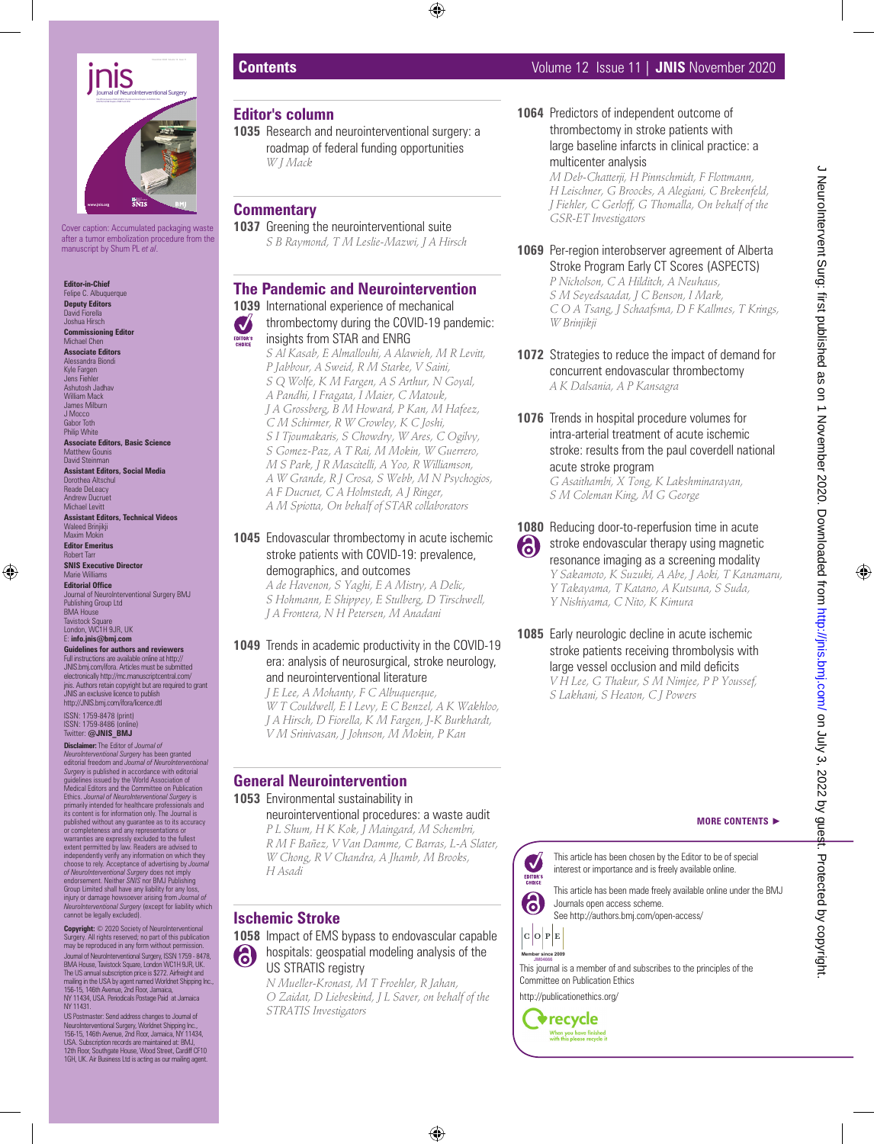

Cover caption: Accumulated packaging waste after a tumor embolization procedure from the manuscript by Shum PL *et al*.

**Editor-in-Chief** Feline C. Albuquerque **Deputy Editors** David Fiorella Joshua Hirsch

**Commissioning Editor** Michael Chen **Associate Editors**

Alessandra Biondi Kyle Fargen Jens Fiehler Ashutosh Jadhav William Mack James Milburn J Mocco Gabor Toth Philip White **Associate Editors, Basic Science** Matthew Gounis David Steinman **Assistant Editors, Social Media** Dorothea Altschul Reade DeLeacy Andrew Ducruet Michael Levitt

**Assistant Editors, Technical Videos** Waleed Brinjikji Maxim Mokin

**Editor Emeritus** Robert Tarr **SNIS Executive Director** Marie Williams

**Editorial Office Journal of NeuroInterventional Surgery BMJ** Publishing Group Ltd BMA House **Tavistock Square** 

London, WC1H 9JR, UK E: **info.jnis@bmj.com**

**Guidelines for authors and reviewers** Full instructions are available online at http:// JNIS.bmj.com/ifora. Articles must be submitted electronically http://mc.manuscriptcentral.com/ jnis. Authors retain copyright but are required to grant JNIS an exclusive licence to publish

ISSN: 1759-8478 (print) ISSN: 1759-8486 (online) Twitter: **@JNIS\_BMJ**

http://JNIS.bmj.com/ifora/licence.dtl

**Disclaimer:** The Editor of *Journal of NeuroInterventional Surgery* has been granted editorial freedom and *Journal of NeuroInterventional Surgery* is published in accordance with editorial guidelines issued by the World Association of Medical Editors and the Committee on Publication Ethics. *Journal of NeuroInterventional Surgery* is<br>primarily intended for healthcare professionals and<br>its content is for information only. The Journal is published without any guarantee as to its accuracy

or completeness and any representations or<br>warranties are expressly excluded to the fullest<br>extent permitted by law. Readers are advised to<br>independently verify any information on which they choose to rely. Acceptance of advertising by *Journal of NeuroInterventional Surgery* does not imply endorsement. Neither *SNIS* nor BMJ Publishing Group Limited shall have any liability for any loss,<br>injury or damage howsoever arising from *Journal of*<br>*NeuroInterventional Surgery* (except for liability which<br>cannot be legally excluded).

Copyright:  $\oslash$  2020 Society of NeuroInterventional y. All rights reserved; no part of this publication may be reproduced in any form without permission. Journal of NeuroInterventional Surgery, ISSN 1759 - 8478,<br>BMA House, Tavistock Square, London WCTH 9JR, UK.<br>The US annual subscription price is \$272. Aifreight and<br>mailing in the USA by agent named Worldnet Shipping Inc.,<br> NY 11431.

US Postmaster. Send address changes to Journal of<br>NeuroInterventional Surgey, Worldnet Shipping Inc.,<br>156-15, 146th Avenue, 2nd Floor, Jamaica, NY 11434,<br>USA. Subscription records are maintained at: BMJ,<br>12th Floor, Southg

### **Editor's column**

**1035** Research and neurointerventional surgery: a roadmap of federal funding opportunities *W J Mack*

# **Commentary**

**1037** Greening the neurointerventional suite *S B Raymond, T M Leslie-Mazwi, J A Hirsch*

# **The Pandemic and Neurointervention**

**1039** International experience of mechanical

Ø thrombectomy during the COVID-19 pandemic: EDITOR'S insights from STAR and ENRG *S Al Kasab, E Almallouhi, A Alawieh, M R Levitt, P Jabbour, A Sweid, R M Starke, V Saini, S Q Wolfe, K M Fargen, A S Arthur, N Goyal, A Pandhi, I Fragata, I Maier, C Matouk, J A Grossberg, B M Howard, P Kan, M Hafeez, C M Schirmer, R W Crowley, K C Joshi, S I Tjoumakaris, S Chowdry, W Ares, C Ogilvy, S Gomez-Paz, A T Rai, M Mokin, W Guerrero, M S Park, J R Mascitelli, A Yoo, R Williamson, A W Grande, R J Crosa, S Webb, M N Psychogios, A F Ducruet, C A Holmstedt, A J Ringer, A M Spiotta, On behalf of STAR collaborators*

**1045** Endovascular thrombectomy in acute ischemic stroke patients with COVID-19: prevalence, demographics, and outcomes

*A de Havenon, S Yaghi, E A Mistry, A Delic, S Hohmann, E Shippey, E Stulberg, D Tirschwell, J A Frontera, N H Petersen, M Anadani*

#### **1049** Trends in academic productivity in the COVID-19 era: analysis of neurosurgical, stroke neurology, and neurointerventional literature

*J E Lee, A Mohanty, F C Albuquerque, W T Couldwell, E I Levy, E C Benzel, A K Wakhloo, J A Hirsch, D Fiorella, K M Fargen, J-K Burkhardt, V M Srinivasan, J Johnson, M Mokin, P Kan*

# **General Neurointervention**

# **1053** Environmental sustainability in

neurointerventional procedures: a waste audit *P L Shum, H K Kok, J Maingard, M Schembri, R M F Bañez, V Van Damme, C Barras, L-A Slater, W Chong, R V Chandra, A Jhamb, M Brooks, H Asadi*

# **Ischemic Stroke**

**1058** Impact of EMS bypass to endovascular capable hospitals: geospatial modeling analysis of the US STRATIS registry

*N Mueller-Kronast, M T Froehler, R Jahan, O Zaidat, D Liebeskind, J L Saver, on behalf of the STRATIS Investigators*

**1064** Predictors of independent outcome of thrombectomy in stroke patients with large baseline infarcts in clinical practice: a multicenter analysis *M Deb-Chatterji, H Pinnschmidt, F Flottmann,* 

*H Leischner, G Broocks, A Alegiani, C Brekenfeld, J Fiehler, C Gerloff, G Thomalla, On behalf of the GSR-ET Investigators*

#### **1069** Per-region interobserver agreement of Alberta Stroke Program Early CT Scores (ASPECTS) *P Nicholson, C A Hilditch, A Neuhaus, S M Seyedsaadat, J C Benson, I Mark, C O A Tsang, J Schaafsma, D F Kallmes, T Krings, W Brinjikji*

- **1072** Strategies to reduce the impact of demand for concurrent endovascular thrombectomy *A K Dalsania, A P Kansagra*
- **1076** Trends in hospital procedure volumes for intra-arterial treatment of acute ischemic stroke: results from the paul coverdell national acute stroke program *G Asaithambi, X Tong, K Lakshminarayan, S M Coleman King, M G George*
- **1080** Reducing door-to-reperfusion time in acute stroke endovascular therapy using magnetic 6) resonance imaging as a screening modality *Y Sakamoto, K Suzuki, A Abe, J Aoki, T Kanamaru, Y Takayama, T Katano, A Kutsuna, S Suda, Y Nishiyama, C Nito, K Kimura*
- **1085** Early neurologic decline in acute ischemic stroke patients receiving thrombolysis with large vessel occlusion and mild deficits *V H Lee, G Thakur, S M Nimjee, P P Youssef, S Lakhani, S Heaton, C J Powers*

#### **MORE CONTENTS** ►

This article has been chosen by the Editor to be of special  $\boldsymbol{\mathcal{J}}$ interest or importance and is freely available online. EDITOR'S

This article has been made freely available online under the BMJ Journals open access scheme. See http://authors.bmj.com/open-access/

6  $|c|o|P|E$ 

**Member since 2008 JM00017 Member since 2009** 

This journal is a member of and subscribes to the principles of the **JM04666** Committee on Publication Ethics http://publicationethics.org/

**v**recycle When you have finished<br>with this please recycle it